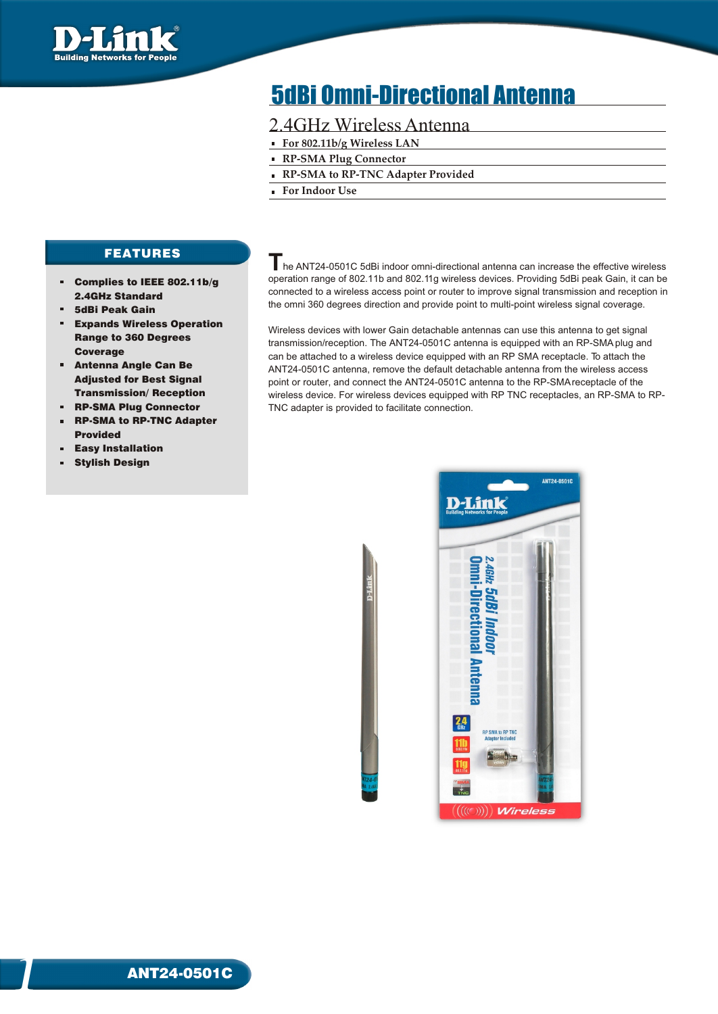

# 5dBi Omni-Directional Antenna

## 2.4GHz Wireless Antenna

- **For 802.11b/g Wireless LAN**
- **RP-SMA Plug Connector**
- **RP-SMA to RP-TNC Adapter Provided**
- **For Indoor Use**

### FEATURES

- Complies to IEEE 802.11b/g 2.4GHz Standard
- 5dBi Peak Gain
- Expands Wireless Operation Range to 360 Degrees Coverage
- $\bar{\mathbf{u}}$ Antenna Angle Can Be Adjusted for Best Signal Transmission/ Reception
- RP-SMA Plug Connector m.
- RP-SMA to RP-TNC Adapter Provided
- Easy Installation
- Stylish Design

 **T**he ANT24-0501C 5dBi indoor omni-directional antenna can increase the effective wireless operation range of 802.11b and 802.11g wireless devices. Providing 5dBi peak Gain, it can be connected to a wireless access point or router to improve signal transmission and reception in the omni 360 degrees direction and provide point to multi-point wireless signal coverage.

Wireless devices with lower Gain detachable antennas can use this antenna to get signal transmission/reception. The ANT24-0501C antenna is equipped with an RP-SMA plug and can be attached to a wireless device equipped with an RP SMA receptacle. To attach the ANT24-0501C antenna, remove the default detachable antenna from the wireless access point or router, and connect the ANT24-0501C antenna to the RP-SMA receptacle of the wireless device. For wireless devices equipped with RP TNC receptacles, an RP-SMA to RP-TNC adapter is provided to facilitate connection.

ANT24-05010